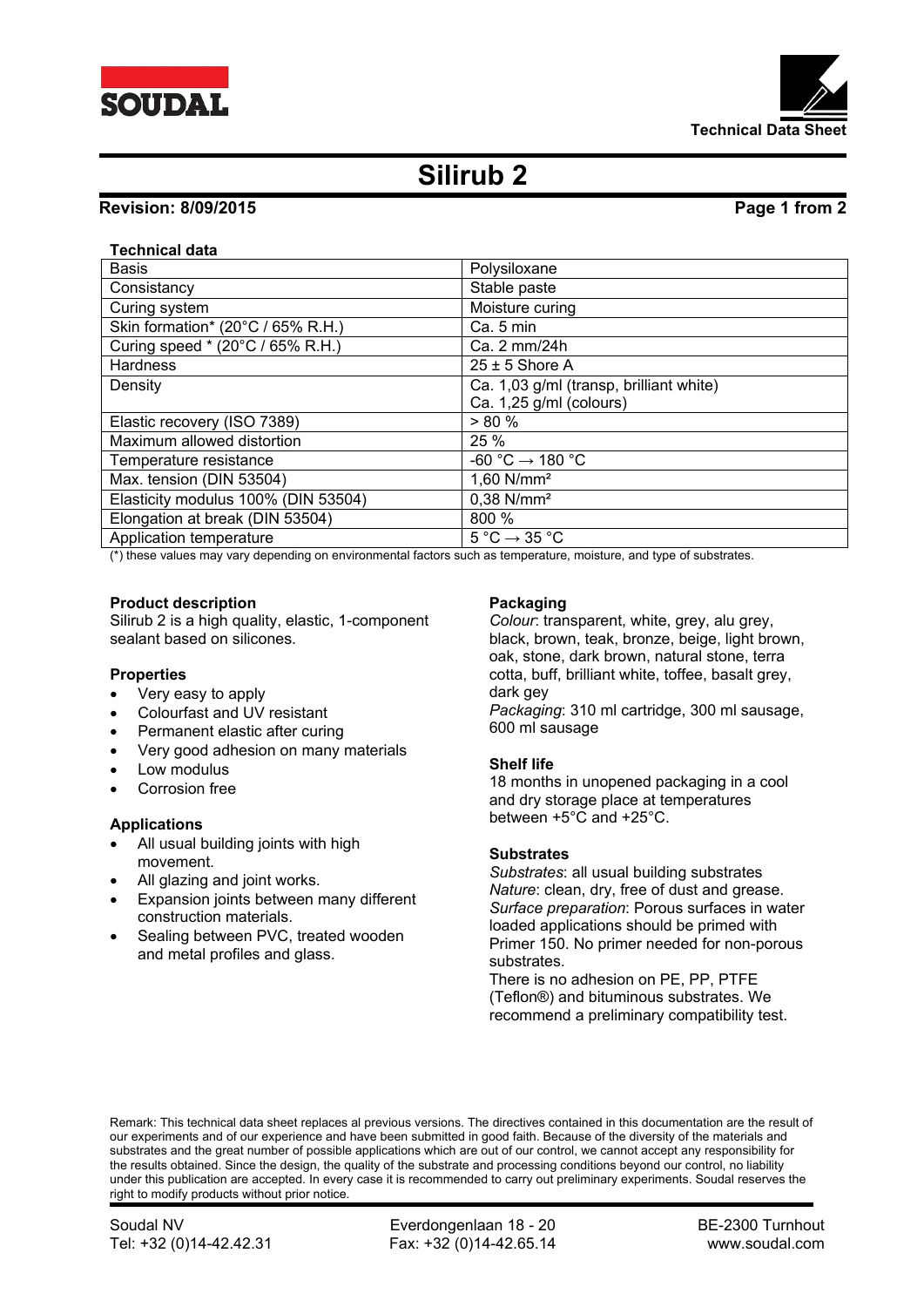



# **Silirub 2**

# **Revision: 8/09/2015 Page 1 from 2**

# **Technical data**

| <b>Basis</b>                        | Polysiloxane                                 |
|-------------------------------------|----------------------------------------------|
| Consistancy                         | Stable paste                                 |
| Curing system                       | Moisture curing                              |
| Skin formation* (20°C / 65% R.H.)   | Ca. 5 min                                    |
| Curing speed * (20°C / 65% R.H.)    | Ca. 2 mm/24h                                 |
| <b>Hardness</b>                     | $25 \pm 5$ Shore A                           |
| Density                             | Ca. 1,03 g/ml (transp, brilliant white)      |
|                                     | Ca. 1,25 g/ml (colours)                      |
| Elastic recovery (ISO 7389)         | $> 80 \%$                                    |
| Maximum allowed distortion          | 25 %                                         |
| Temperature resistance              | -60 °C $\rightarrow$ 180 °C                  |
| Max. tension (DIN 53504)            | $1,60$ N/mm <sup>2</sup>                     |
| Elasticity modulus 100% (DIN 53504) | $0.38$ N/mm <sup>2</sup>                     |
| Elongation at break (DIN 53504)     | 800 %                                        |
| Application temperature             | $5^{\circ}$ C $\rightarrow$ 35 $^{\circ}$ C  |
|                                     | $\sim$ $\sim$ $\sim$ $\sim$<br>$\sim$ $\sim$ |

(\*) these values may vary depending on environmental factors such as temperature, moisture, and type of substrates.

#### **Product description**

Silirub 2 is a high quality, elastic, 1-component sealant based on silicones.

#### **Properties**

- Very easy to apply
- Colourfast and UV resistant
- Permanent elastic after curing
- Very good adhesion on many materials
- Low modulus
- Corrosion free

#### **Applications**

- All usual building joints with high movement.
- All glazing and joint works.
- Expansion joints between many different construction materials.
- Sealing between PVC, treated wooden and metal profiles and glass.

#### **Packaging**

*Colour*: transparent, white, grey, alu grey, black, brown, teak, bronze, beige, light brown, oak, stone, dark brown, natural stone, terra cotta, buff, brilliant white, toffee, basalt grey, dark gev *Packaging*: 310 ml cartridge, 300 ml sausage,

600 ml sausage

#### **Shelf life**

18 months in unopened packaging in a cool and dry storage place at temperatures between +5°C and +25°C.

#### **Substrates**

*Substrates*: all usual building substrates *Nature*: clean, dry, free of dust and grease. *Surface preparation*: Porous surfaces in water loaded applications should be primed with Primer 150. No primer needed for non-porous substrates.

There is no adhesion on PE, PP, PTFE (Teflon®) and bituminous substrates. We recommend a preliminary compatibility test.

Remark: This technical data sheet replaces al previous versions. The directives contained in this documentation are the result of our experiments and of our experience and have been submitted in good faith. Because of the diversity of the materials and substrates and the great number of possible applications which are out of our control, we cannot accept any responsibility for the results obtained. Since the design, the quality of the substrate and processing conditions beyond our control, no liability under this publication are accepted. In every case it is recommended to carry out preliminary experiments. Soudal reserves the right to modify products without prior notice.

Soudal NV **Everdongenlaan 18 - 20** BE-2300 Turnhout